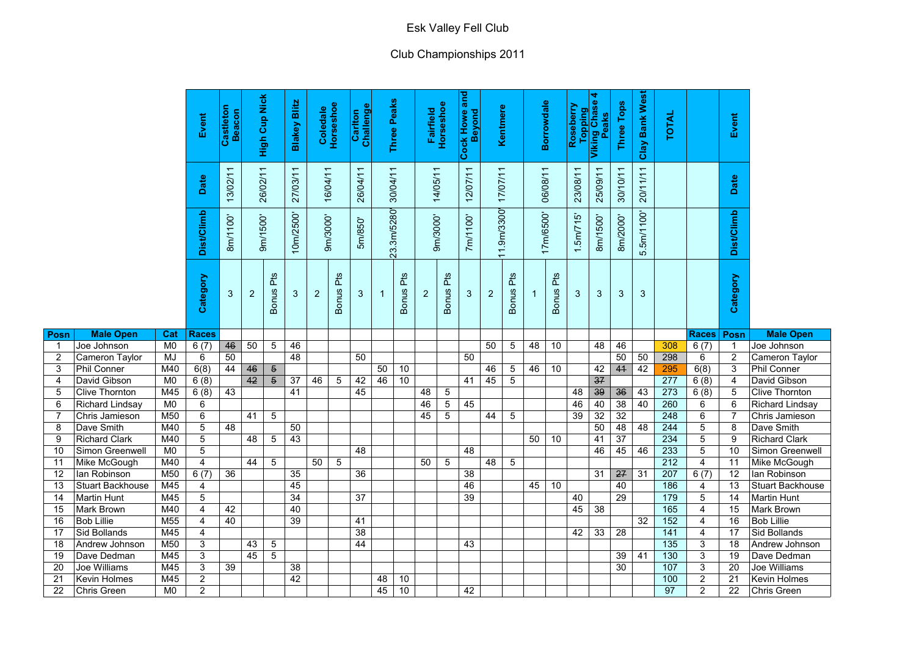|                |                                |                        | Event          | Castleton<br>Beacon |                | <b>High Cup Nick</b> | <b>Blakey Blitz</b>       | <b>Coledale</b> | Φ<br>Horsesho       | Carlton<br>Challenge |            | Peaks<br>Three             |                | Fairfield<br>Horseshoe | and<br><b>Cock Howe:</b><br>Beyond | Kentmere       |                 | <b>Borrowdale</b> |                     | Roseberry      | 4<br>Topping<br>Viking Chase<br>Peaks | <b>Three Tops</b> | Clay Bank West | <b>TOTAL</b> |                | Event             |                                |
|----------------|--------------------------------|------------------------|----------------|---------------------|----------------|----------------------|---------------------------|-----------------|---------------------|----------------------|------------|----------------------------|----------------|------------------------|------------------------------------|----------------|-----------------|-------------------|---------------------|----------------|---------------------------------------|-------------------|----------------|--------------|----------------|-------------------|--------------------------------|
|                |                                |                        | Date           | 13/02/11            | 26/02/11       |                      | $\overline{ }$<br>27/03/1 | 16/04/11        |                     | 26/04/11             | 30/04/11   |                            |                | 14/05/11               | 12/07/11                           | 17/07/11       |                 | 06/08/11          |                     | 23/08/11       | 25/09/11                              | 30/10/11          | 20/11/11       |              |                | Date              |                                |
|                |                                |                        | Dist/Climb     | 8m/1100'            | 9m/1500'       |                      | 10m/2500'                 | 9m/3000'        |                     | 5m/850'              | 23.3m/5280 |                            |                | 9m/3000                | 7m/1100'                           | 1.9m/3300'     |                 | 17m/6500'         |                     | $1.5m$ $715$   | 500'<br>8m/1                          | 8m/2000'          | 5.5m/1100      |              |                | <b>Dist/Climb</b> |                                |
|                |                                |                        | Category       | 3                   | $\overline{2}$ | Pts<br><b>Bonus</b>  | 3                         | $\overline{2}$  | Pts<br><b>Bonus</b> | 3                    |            | <b>Pts</b><br><b>Bonus</b> | 2 <sup>2</sup> | Pts<br><b>Bonus</b>    | 3 <sup>5</sup>                     | $\overline{2}$ | Bonus Pts       |                   | Pts<br><b>Bonus</b> | 3 <sup>2</sup> | 3                                     | $\mathbf{3}$      | 3              |              |                | Category          |                                |
| Posn           | <b>Male Open</b>               | <b>Cat</b>             | <b>Races</b>   |                     |                |                      |                           |                 |                     |                      |            |                            |                |                        |                                    |                |                 |                   |                     |                |                                       |                   |                |              | <b>Races</b>   | <b>Posn</b>       | <b>Male Open</b>               |
|                | Joe Johnson                    | M0                     | 6(7)           | 46                  | 50             | $\sqrt{5}$           | 46                        |                 |                     |                      |            |                            |                |                        |                                    | 50             | $\overline{5}$  | 48                | 10                  |                | 48                                    | 46                |                | 308          | 6(7)           |                   | Joe Johnson                    |
| $\overline{2}$ | <b>Cameron Taylor</b>          | MJ                     | 6              | 50                  |                |                      | 48                        |                 |                     | 50                   |            |                            |                |                        | 50                                 |                |                 |                   |                     |                |                                       | 50                | 50             | 298          | 6              | $\overline{2}$    | Cameron Taylor                 |
| 3              | <b>Phil Conner</b>             | M40                    | 6(8)           | 44                  | 46             | $\overline{5}$       |                           |                 |                     |                      | 50         | 10                         |                |                        |                                    | 46             | $\overline{5}$  | 46                | 10                  |                | 42                                    | 41                | 42             | 295          | 6(8)           | 3                 | Phil Conner                    |
| 4              | David Gibson                   | M <sub>0</sub>         | 6(8)           |                     | 42             | $\overline{5}$       | 37                        | 46              | 5                   | 42                   | 46         | 10 <sup>°</sup>            |                |                        | 41                                 | 45             | $\overline{5}$  |                   |                     |                | 37                                    |                   |                | 277          | 6(8)           | 4                 | David Gibson                   |
| 5              | <b>Clive Thornton</b>          | M45                    | 6(8)           | 43                  |                |                      | 41                        |                 |                     | 45                   |            |                            | 48             | $5\phantom{.0}$        |                                    |                |                 |                   |                     | 48             | 39                                    | 36                | 43             | 273          | 6(8)           | 5                 | <b>Clive Thornton</b>          |
| 6              | <b>Richard Lindsay</b>         | M0                     | 6              |                     |                |                      |                           |                 |                     |                      |            |                            | 46             | 5                      | 45                                 |                |                 |                   |                     | 46             | 40                                    | 38                | 40             | 260          | 6              | 6                 | <b>Richard Lindsay</b>         |
| 7              | Chris Jamieson                 | M50                    | 6              |                     | 41             | $5\phantom{.0}$      |                           |                 |                     |                      |            |                            | 45             | 5 <sup>5</sup>         |                                    | 44             | $5\phantom{.0}$ |                   |                     | 39             | 32                                    | 32                |                | 248          | 6              | 7                 | Chris Jamieson                 |
| 8              | Dave Smith                     | M40                    | 5              | 48                  |                |                      | 50                        |                 |                     |                      |            |                            |                |                        |                                    |                |                 |                   |                     |                | 50                                    | 48                | 48             | 244          | 5              | 8                 | Dave Smith                     |
| 9              | <b>Richard Clark</b>           | M40                    | $\sqrt{5}$     |                     | 48             | $5\phantom{.0}$      | 43                        |                 |                     |                      |            |                            |                |                        |                                    |                |                 | 50                | 10                  |                | 41                                    | 37                |                | 234          | $\sqrt{5}$     | 9                 | <b>Richard Clark</b>           |
| 10             | Simon Greenwell                | M0                     | 5              |                     |                |                      |                           |                 |                     | 48                   |            |                            |                |                        | 48                                 |                |                 |                   |                     |                | 46                                    | 45                | 46             | 233          | 5              | 10                | Simon Greenwell                |
| 11             | Mike McGough                   | M40                    | $\overline{4}$ |                     | 44             | $5\overline{)}$      |                           | 50              | 5                   |                      |            |                            | 50             | $5\phantom{.0}$        |                                    | 48             | $\overline{5}$  |                   |                     |                |                                       |                   |                | 212          | 4              | 11                | Mike McGough                   |
| 12             | lan Robinson                   | M50                    | 6(7)           | 36                  |                |                      | 35                        |                 |                     | 36                   |            |                            |                |                        | 38                                 |                |                 |                   |                     |                | 31                                    | 27                | 31             | 207          | 6(7)           | 12                | lan Robinson                   |
| 13             | <b>Stuart Backhouse</b>        | M45                    | 4              |                     |                |                      | 45                        |                 |                     |                      |            |                            |                |                        | 46                                 |                |                 | 45                | 10                  |                |                                       | 40                |                | 186          | 4              | 13                | <b>Stuart Backhouse</b>        |
| 14             | Martin Hunt                    | M45                    | 5              |                     |                |                      | 34                        |                 |                     | 37                   |            |                            |                |                        | 39                                 |                |                 |                   |                     | 40             |                                       | 29                |                | 179          | 5              | 14                | <b>Martin Hunt</b>             |
| 15             | Mark Brown                     | M40                    | $\overline{4}$ | 42                  |                |                      | 40                        |                 |                     |                      |            |                            |                |                        |                                    |                |                 |                   |                     | 45             | 38                                    |                   |                | 165          | $\overline{4}$ | 15                | Mark Brown                     |
| 16             | <b>Bob Lillie</b>              | M <sub>55</sub><br>M45 | 4              | 40                  |                |                      | 39                        |                 |                     | 41                   |            |                            |                |                        |                                    |                |                 |                   |                     |                | 33                                    |                   | 32             | 152<br>141   | 4              | 16                | <b>Bob Lillie</b>              |
| 17<br>18       | Sid Bollands<br>Andrew Johnson | M50                    | 4<br>3         |                     | 43             | 5                    |                           |                 |                     | 38<br>44             |            |                            |                |                        | 43                                 |                |                 |                   |                     | 42             |                                       | 28                |                | 135          | 4<br>3         | 17<br>18          | Sid Bollands<br>Andrew Johnson |
| 19             | Dave Dedman                    | M45                    | $\mathfrak{S}$ |                     | 45             | $5\phantom{.0}$      |                           |                 |                     |                      |            |                            |                |                        |                                    |                |                 |                   |                     |                |                                       | 39                | 41             | 130          | 3              | 19                | Dave Dedman                    |
| 20             | Joe Williams                   | M45                    | 3              | 39                  |                |                      | 38                        |                 |                     |                      |            |                            |                |                        |                                    |                |                 |                   |                     |                |                                       | 30                |                | 107          | 3              | 20                | Joe Williams                   |
| 21             | <b>Kevin Holmes</b>            | M45                    | $\overline{2}$ |                     |                |                      | 42                        |                 |                     |                      | 48         | 10                         |                |                        |                                    |                |                 |                   |                     |                |                                       |                   |                | 100          | 2              | 21                | <b>Kevin Holmes</b>            |
| 22             | <b>Chris Green</b>             | M0                     | $\overline{2}$ |                     |                |                      |                           |                 |                     |                      | 45         | 10                         |                |                        | 42                                 |                |                 |                   |                     |                |                                       |                   |                | 97           | $\overline{2}$ | 22                | Chris Green                    |
|                |                                |                        |                |                     |                |                      |                           |                 |                     |                      |            |                            |                |                        |                                    |                |                 |                   |                     |                |                                       |                   |                |              |                |                   |                                |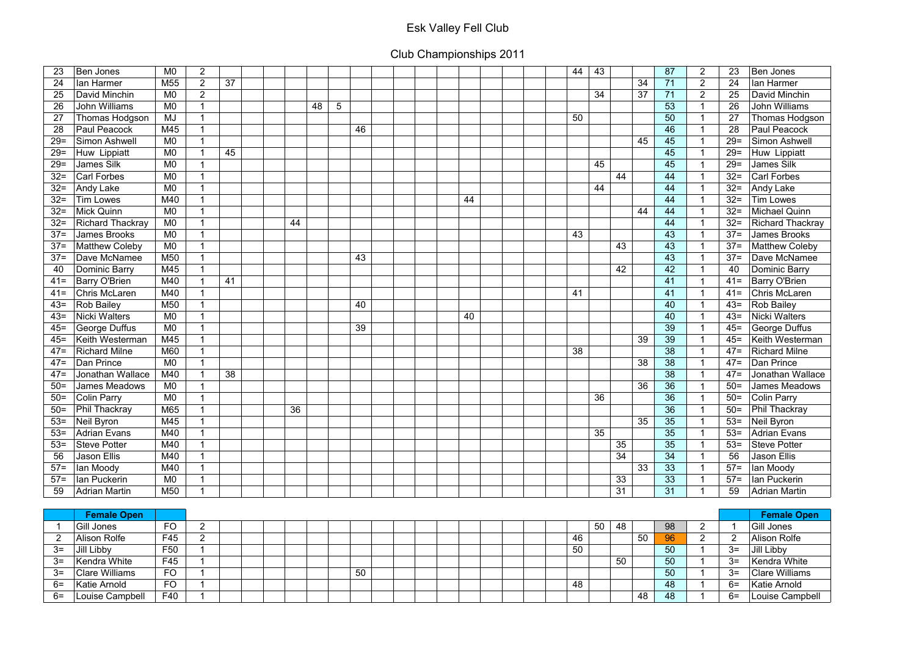| 23          | <b>Ben Jones</b>        | M <sub>0</sub>  | $\overline{2}$ |    |    |    |   |    |    |  | 44<br>43 |         |    | 87 | $\overline{2}$           | 23             | Ben Jones               |
|-------------|-------------------------|-----------------|----------------|----|----|----|---|----|----|--|----------|---------|----|----|--------------------------|----------------|-------------------------|
| 24          | lan Harmer              | M <sub>55</sub> | $\overline{2}$ | 37 |    |    |   |    |    |  |          |         | 34 | 71 | $\overline{2}$           | 24             | lan Harmer              |
| 25          | David Minchin           | M <sub>0</sub>  | $2^{\circ}$    |    |    |    |   |    |    |  | 34       |         | 37 | 71 | $\overline{2}$           | 25             | David Minchin           |
| 26          | <b>John Williams</b>    | M <sub>0</sub>  |                |    |    | 48 | 5 |    |    |  |          |         |    | 53 | 1                        | 26             | <b>John Williams</b>    |
| 27          | Thomas Hodgson          | MJ              |                |    |    |    |   |    |    |  | 50       |         |    | 50 |                          | 27             | Thomas Hodgson          |
| 28          | <b>Paul Peacock</b>     | M45             |                |    |    |    |   | 46 |    |  |          |         |    | 46 | 1                        | 28             | <b>Paul Peacock</b>     |
| $29=$       | Simon Ashwell           | M <sub>0</sub>  |                |    |    |    |   |    |    |  |          |         | 45 | 45 |                          | $29 =$         | Simon Ashwell           |
| $29=$       | Huw Lippiatt            | M <sub>0</sub>  |                | 45 |    |    |   |    |    |  |          |         |    | 45 |                          | $29=$          | Huw Lippiatt            |
| $29=$       | James Silk              | M <sub>0</sub>  |                |    |    |    |   |    |    |  | 45       |         |    | 45 |                          | $29=$          | <b>James Silk</b>       |
| $32 =$      | <b>Carl Forbes</b>      | M <sub>0</sub>  |                |    |    |    |   |    |    |  |          | 44      |    | 44 | $\overline{1}$           | $32 =$         | <b>Carl Forbes</b>      |
| $32 =$      | Andy Lake               | M <sub>0</sub>  |                |    |    |    |   |    |    |  | 44       |         |    | 44 |                          | $32 =$         | Andy Lake               |
| $32 =$      | <b>Tim Lowes</b>        | M40             |                |    |    |    |   |    | 44 |  |          |         |    | 44 |                          | $32 =$         | <b>Tim Lowes</b>        |
| $32 =$      | <b>Mick Quinn</b>       | M <sub>0</sub>  |                |    |    |    |   |    |    |  |          |         | 44 | 44 | -1                       | $32 =$         | <b>Michael Quinn</b>    |
| $32 =$      | <b>Richard Thackray</b> | M <sub>0</sub>  |                |    | 44 |    |   |    |    |  |          |         |    | 44 |                          | $32 =$         | <b>Richard Thackray</b> |
| $37 =$      | <b>James Brooks</b>     | M <sub>0</sub>  |                |    |    |    |   |    |    |  | 43       |         |    | 43 |                          | $37 =$         | <b>James Brooks</b>     |
| $37 =$      | <b>Matthew Coleby</b>   | M <sub>0</sub>  |                |    |    |    |   |    |    |  |          | 43      |    | 43 |                          | $37 =$         | <b>Matthew Coleby</b>   |
| $37 =$      | Dave McNamee            | M50             |                |    |    |    |   | 43 |    |  |          |         |    | 43 | -1                       | $37 =$         | Dave McNamee            |
| 40          | <b>Dominic Barry</b>    | M45             |                |    |    |    |   |    |    |  |          | 42      |    | 42 | 1                        | 40             | Dominic Barry           |
| $41 =$      | Barry O'Brien           | M40             |                | 41 |    |    |   |    |    |  |          |         |    | 41 | 1                        | $41 =$         | Barry O'Brien           |
| $41 =$      | <b>Chris McLaren</b>    | M40             |                |    |    |    |   |    |    |  | 41       |         |    | 41 | -1                       | $41 =$         | <b>Chris McLaren</b>    |
| $43=$       | <b>Rob Bailey</b>       | M50             |                |    |    |    |   | 40 |    |  |          |         |    | 40 | -1                       | $43=$          | Rob Bailey              |
| $43=$       | <b>Nicki Walters</b>    | M <sub>0</sub>  |                |    |    |    |   |    | 40 |  |          |         |    | 40 |                          | $43=$          | <b>Nicki Walters</b>    |
| $45 =$      | George Duffus           | M <sub>0</sub>  |                |    |    |    |   | 39 |    |  |          |         |    | 39 |                          | $45 =$         | George Duffus           |
| $45 =$      | Keith Westerman         | M45             |                |    |    |    |   |    |    |  |          |         | 39 | 39 |                          | $45=$          | Keith Westerman         |
| $47=$       | <b>Richard Milne</b>    | M60             |                |    |    |    |   |    |    |  | 38       |         |    | 38 | $\overline{1}$           | $47=$          | <b>Richard Milne</b>    |
| $47=$       | Dan Prince              | M <sub>0</sub>  |                |    |    |    |   |    |    |  |          |         | 38 | 38 | 1                        | $47=$          | Dan Prince              |
| $47=$       | Jonathan Wallace        | M40             |                | 38 |    |    |   |    |    |  |          |         |    | 38 | 1                        | $47=$          | Jonathan Wallace        |
| $50=$       | James Meadows           | M <sub>0</sub>  |                |    |    |    |   |    |    |  |          |         | 36 | 36 | 1                        | $50 =$         | James Meadows           |
| $50=$       | <b>Colin Parry</b>      | M <sub>0</sub>  |                |    |    |    |   |    |    |  | 36       |         |    | 36 |                          | $50=$          | <b>Colin Parry</b>      |
| $50=$       | Phil Thackray           | M65             |                |    | 36 |    |   |    |    |  |          |         |    | 36 |                          | $50=$          | Phil Thackray           |
| $53=$       | Neil Byron              | M45             |                |    |    |    |   |    |    |  |          |         | 35 | 35 | $\mathbf 1$              | $53=$          | Neil Byron              |
| $53=$       | <b>Adrian Evans</b>     | M40             |                |    |    |    |   |    |    |  | 35       |         |    | 35 |                          | $53=$          | Adrian Evans            |
| $53=$       | Steve Potter            | M40             |                |    |    |    |   |    |    |  |          | 35      |    | 35 |                          | $53=$          | Steve Potter            |
| 56          | Jason Ellis             | M40             |                |    |    |    |   |    |    |  |          | 34      |    | 34 | -1                       | 56             | Jason Ellis             |
| $57 =$      | lan Moody               | M40             |                |    |    |    |   |    |    |  |          |         | 33 | 33 | $\overline{\phantom{a}}$ | $57=$          | lan Moody               |
| $57 =$      | lan Puckerin            | M0              |                |    |    |    |   |    |    |  |          | 33      |    | 33 | -1                       | $57 =$         | lan Puckerin            |
| 59          | <b>Adrian Martin</b>    | M50             |                |    |    |    |   |    |    |  |          | 31      |    | 31 |                          | 59             | <b>Adrian Martin</b>    |
|             |                         |                 |                |    |    |    |   |    |    |  |          |         |    |    |                          |                |                         |
|             | <b>Female Open</b>      |                 |                |    |    |    |   |    |    |  |          |         |    |    |                          |                | <b>Female Open</b>      |
| $\mathbf 1$ | Gill Jones              | <b>FO</b>       | $\overline{2}$ |    |    |    |   |    |    |  |          | 50   48 |    | 98 | $\overline{2}$           | $\overline{1}$ | Gill Jones              |

|      | <b>Female Open</b>    |                 |  |  |  |    |  |  |  |    |    |    |    |      | <b>Female Open</b>    |
|------|-----------------------|-----------------|--|--|--|----|--|--|--|----|----|----|----|------|-----------------------|
|      | Gill Jones            | <b>FO</b>       |  |  |  |    |  |  |  | 50 | 48 |    | 98 |      | Gill Jones            |
|      | Alison Rolfe          | F45             |  |  |  |    |  |  |  | 46 |    | 50 | 96 |      | Alison Rolfe          |
| $3=$ | Jill Libby            | F <sub>50</sub> |  |  |  |    |  |  |  | 50 |    |    | 50 | $3=$ | Jill Libby            |
| $3=$ | Kendra White          | F45             |  |  |  |    |  |  |  |    | 50 |    | 50 | $3=$ | Kendra White          |
| $3=$ | <b>Clare Williams</b> | FO              |  |  |  | 50 |  |  |  |    |    |    | 50 | $3=$ | <b>Clare Williams</b> |
| $6=$ | Katie Arnold          | <b>FO</b>       |  |  |  |    |  |  |  | 48 |    |    | 48 | $6=$ | Katie Arnold          |
| $6=$ | Louise Campbell       | F40             |  |  |  |    |  |  |  |    |    | 48 | 48 | $6=$ | Louise Campbell       |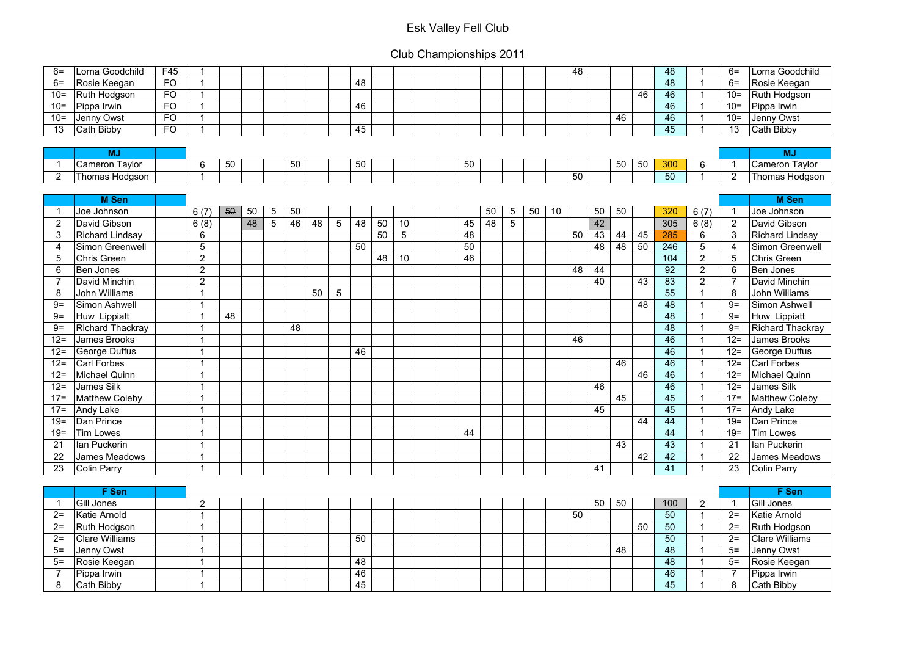| $6=$           | Lorna Goodchild       | F45       |                         |    |    |   |    |    |                 |    |    |                 |    |    |                |    |    | 48 |    |    |    | 48  |                | $6=$                     | Lorna Goodchild        |
|----------------|-----------------------|-----------|-------------------------|----|----|---|----|----|-----------------|----|----|-----------------|----|----|----------------|----|----|----|----|----|----|-----|----------------|--------------------------|------------------------|
| $6=$           | Rosie Keegan          | <b>FO</b> | ◀                       |    |    |   |    |    |                 | 48 |    |                 |    |    |                |    |    |    |    |    |    | 48  | 1              | $6=$                     | Rosie Keegan           |
| $10 =$         | Ruth Hodgson          | <b>FO</b> | 1                       |    |    |   |    |    |                 |    |    |                 |    |    |                |    |    |    |    |    | 46 | 46  | $\overline{1}$ | $10=$                    | Ruth Hodgson           |
| $10 =$         | Pippa Irwin           | <b>FO</b> |                         |    |    |   |    |    |                 | 46 |    |                 |    |    |                |    |    |    |    |    |    | 46  | 1              | $10 =$                   | Pippa Irwin            |
| $10 =$         | Jenny Owst            | <b>FO</b> | 1                       |    |    |   |    |    |                 |    |    |                 |    |    |                |    |    |    |    | 46 |    | 46  | 1              | $10=$                    | Jenny Owst             |
| 13             | Cath Bibby            | <b>FO</b> |                         |    |    |   |    |    |                 | 45 |    |                 |    |    |                |    |    |    |    |    |    | 45  | -1             | 13                       | Cath Bibby             |
|                |                       |           |                         |    |    |   |    |    |                 |    |    |                 |    |    |                |    |    |    |    |    |    |     |                |                          |                        |
|                | <b>MJ</b>             |           |                         |    |    |   |    |    |                 |    |    |                 |    |    |                |    |    |    |    |    |    |     |                |                          | <b>MJ</b>              |
|                | <b>Cameron Taylor</b> |           | 6                       | 50 |    |   | 50 |    |                 | 50 |    |                 | 50 |    |                |    |    |    |    | 50 | 50 | 300 | 6              | $\overline{\phantom{a}}$ | Cameron Taylor         |
| $\overline{2}$ | Thomas Hodgson        |           | 1                       |    |    |   |    |    |                 |    |    |                 |    |    |                |    |    | 50 |    |    |    | 50  | 1              | $\overline{2}$           | Thomas Hodgson         |
|                |                       |           |                         |    |    |   |    |    |                 |    |    |                 |    |    |                |    |    |    |    |    |    |     |                |                          |                        |
|                | <b>M</b> Sen          |           |                         |    |    |   |    |    |                 |    |    |                 |    |    |                |    |    |    |    |    |    |     |                |                          | <b>M</b> Sen           |
|                | Joe Johnson           |           | 6(7)                    | 50 | 50 | 5 | 50 |    |                 |    |    |                 |    | 50 | 5              | 50 | 10 |    | 50 | 50 |    | 320 | 6(7)           | -1                       | Joe Johnson            |
| $\overline{2}$ | David Gibson          |           | 6(8)                    |    | 48 | 5 | 46 | 48 | $5\phantom{.0}$ | 48 | 50 | 10              | 45 | 48 | $\overline{5}$ |    |    |    | 42 |    |    | 305 | 6(8)           | $\overline{2}$           | David Gibson           |
| 3              | Richard Lindsay       |           | 6                       |    |    |   |    |    |                 |    | 50 | $5\phantom{.0}$ | 48 |    |                |    |    | 50 | 43 | 44 | 45 | 285 | 6              | 3                        | <b>Richard Lindsay</b> |
| 4              | Simon Greenwell       |           | 5                       |    |    |   |    |    |                 | 50 |    |                 | 50 |    |                |    |    |    | 48 | 48 | 50 | 246 | 5              | 4                        | Simon Greenwell        |
| 5              | <b>Chris Green</b>    |           | $\overline{2}$          |    |    |   |    |    |                 |    | 48 | 10              | 46 |    |                |    |    |    |    |    |    | 104 | $\overline{2}$ | 5                        | Chris Green            |
| 6              | <b>Ben Jones</b>      |           | $\overline{2}$          |    |    |   |    |    |                 |    |    |                 |    |    |                |    |    | 48 | 44 |    |    | 92  | $\overline{2}$ | 6                        | Ben Jones              |
|                | David Minchin         |           | $\overline{2}$          |    |    |   |    |    |                 |    |    |                 |    |    |                |    |    |    | 40 |    | 43 | 83  | $\overline{2}$ |                          | David Minchin          |
| 8              | John Williams         |           | 1                       |    |    |   |    | 50 | $5\phantom{.0}$ |    |    |                 |    |    |                |    |    |    |    |    |    | 55  | 1              | 8                        | <b>John Williams</b>   |
| $9=$           | Simon Ashwell         |           | 1                       |    |    |   |    |    |                 |    |    |                 |    |    |                |    |    |    |    |    | 48 | 48  | 1              | $9=$                     | Simon Ashwell          |
| $9=$           | Huw Lippiatt          |           | 4                       | 48 |    |   |    |    |                 |    |    |                 |    |    |                |    |    |    |    |    |    | 48  | 1              | $9=$                     | Huw Lippiatt           |
| $9=$           | Richard Thackray      |           | 1                       |    |    |   | 48 |    |                 |    |    |                 |    |    |                |    |    |    |    |    |    | 48  | 1              | $9=$                     | Richard Thackray       |
| $12 =$         | <b>James Brooks</b>   |           | 4                       |    |    |   |    |    |                 |    |    |                 |    |    |                |    |    | 46 |    |    |    | 46  | $\mathbf 1$    | $12 =$                   | <b>James Brooks</b>    |
| $12 =$         | George Duffus         |           | 1                       |    |    |   |    |    |                 | 46 |    |                 |    |    |                |    |    |    |    |    |    | 46  | 1              | $12 =$                   | George Duffus          |
| $12 =$         | <b>Carl Forbes</b>    |           | 1                       |    |    |   |    |    |                 |    |    |                 |    |    |                |    |    |    |    | 46 |    | 46  | $\overline{1}$ | $12 =$                   | <b>Carl Forbes</b>     |
| $12 =$         | Michael Quinn         |           | 4                       |    |    |   |    |    |                 |    |    |                 |    |    |                |    |    |    |    |    | 46 | 46  | 1              | $12 =$                   | Michael Quinn          |
| $12 =$         | <b>James Silk</b>     |           | 1                       |    |    |   |    |    |                 |    |    |                 |    |    |                |    |    |    | 46 |    |    | 46  | 1              | $12 =$                   | <b>James Silk</b>      |
| $17 =$         | Matthew Coleby        |           | $\overline{\mathbf{A}}$ |    |    |   |    |    |                 |    |    |                 |    |    |                |    |    |    |    | 45 |    | 45  |                | $17 =$                   | Matthew Coleby         |
| $17 =$         | Andy Lake             |           | $\overline{A}$          |    |    |   |    |    |                 |    |    |                 |    |    |                |    |    |    | 45 |    |    | 45  | $\overline{ }$ |                          | 17= $ $ Andy Lake      |
| $19 =$         | Dan Prince            |           | $\overline{ }$          |    |    |   |    |    |                 |    |    |                 |    |    |                |    |    |    |    |    | 44 | 44  | $\overline{1}$ | $19=$                    | Dan Prince             |
| $19=$          | <b>Tim Lowes</b>      |           | $\overline{\mathbf{A}}$ |    |    |   |    |    |                 |    |    |                 | 44 |    |                |    |    |    |    |    |    | 44  | $\overline{1}$ | $19 =$                   | Tim Lowes              |
| 21             | lan Puckerin          |           | 1                       |    |    |   |    |    |                 |    |    |                 |    |    |                |    |    |    |    | 43 |    | 43  | $\mathbf 1$    | 21                       | lan Puckerin           |
| 22             | James Meadows         |           | 1                       |    |    |   |    |    |                 |    |    |                 |    |    |                |    |    |    |    |    | 42 | 42  | $\mathbf 1$    | 22                       | James Meadows          |
| 23             | Colin Parry           |           | 1                       |    |    |   |    |    |                 |    |    |                 |    |    |                |    |    |    | 41 |    |    | 41  | $\mathbf{1}$   | 23                       | <b>Colin Parry</b>     |
|                |                       |           |                         |    |    |   |    |    |                 |    |    |                 |    |    |                |    |    |    |    |    |    |     |                |                          |                        |
|                | F Sen                 |           |                         |    |    |   |    |    |                 |    |    |                 |    |    |                |    |    |    |    |    |    |     |                |                          | F Sen                  |
|                | Gill Jones            |           | $\overline{2}$          |    |    |   |    |    |                 |    |    |                 |    |    |                |    |    |    | 50 | 50 |    | 100 | 2              | $\overline{\phantom{a}}$ | Gill Jones             |
| $2=$           | Katie Arnold          |           | $\blacktriangleleft$    |    |    |   |    |    |                 |    |    |                 |    |    |                |    |    | 50 |    |    |    | 50  | $\mathbf 1$    | $2=$                     | Katie Arnold           |
| $2=$           | Ruth Hodgson          |           | 1                       |    |    |   |    |    |                 |    |    |                 |    |    |                |    |    |    |    |    | 50 | 50  | 1              | $2=$                     | Ruth Hodgson           |
| $2=$           | <b>Clare Williams</b> |           | $\blacktriangleleft$    |    |    |   |    |    |                 | 50 |    |                 |    |    |                |    |    |    |    |    |    | 50  | $\mathbf 1$    | $2=$                     | <b>Clare Williams</b>  |
| $5=$           | Jenny Owst            |           | $\blacktriangleleft$    |    |    |   |    |    |                 |    |    |                 |    |    |                |    |    |    |    | 48 |    | 48  | $\mathbf 1$    | $5=$                     | Jenny Owst             |
| $5=$           | Rosie Keegan          |           | 1                       |    |    |   |    |    |                 | 48 |    |                 |    |    |                |    |    |    |    |    |    | 48  | $\mathbf 1$    | $5=$                     | Rosie Keegan           |
|                | Pippa Irwin           |           | 1                       |    |    |   |    |    |                 | 46 |    |                 |    |    |                |    |    |    |    |    |    | 46  | 1              |                          | Pippa Irwin            |
| 8              | Cath Bibby            |           | 1                       |    |    |   |    |    |                 | 45 |    |                 |    |    |                |    |    |    |    |    |    | 45  | 1              | 8                        | Cath Bibby             |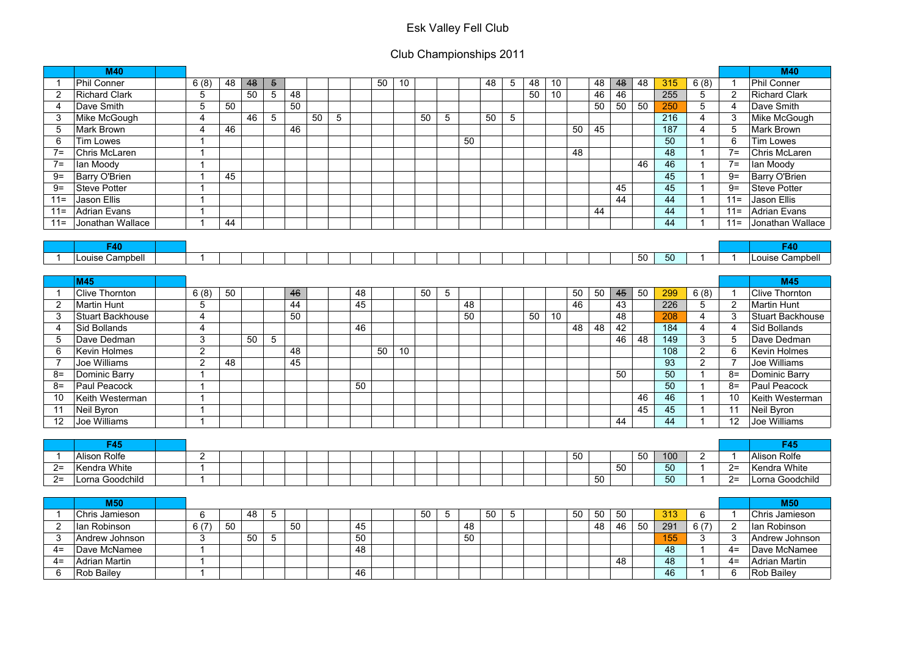|                | <b>M40</b>              |                         |    |    |                 |    |    |                |    |    |    |    |                 |    |    |                |    |    |    |    |    |    |     |                          |                | <b>M40</b>              |
|----------------|-------------------------|-------------------------|----|----|-----------------|----|----|----------------|----|----|----|----|-----------------|----|----|----------------|----|----|----|----|----|----|-----|--------------------------|----------------|-------------------------|
|                | <b>Phil Conner</b>      | 6(8)                    | 48 | 48 | $\overline{5}$  |    |    |                |    | 50 | 10 |    |                 |    | 48 | 5              | 48 | 10 |    | 48 | 48 | 48 | 315 | 6(8)                     | -1             | Phil Conner             |
| $\overline{2}$ | <b>Richard Clark</b>    | 5                       |    | 50 | $5\overline{)}$ | 48 |    |                |    |    |    |    |                 |    |    |                | 50 | 10 |    | 46 | 46 |    | 255 | 5                        | $\overline{2}$ | <b>Richard Clark</b>    |
| 4              | Dave Smith              | 5                       | 50 |    |                 | 50 |    |                |    |    |    |    |                 |    |    |                |    |    |    | 50 | 50 | 50 | 250 | 5                        | -4             | Dave Smith              |
| 3              | Mike McGough            | $\overline{4}$          |    | 46 | $5\overline{)}$ |    | 50 | $\overline{5}$ |    |    |    | 50 | $\overline{5}$  |    | 50 | 5              |    |    |    |    |    |    | 216 | $\overline{4}$           | 3              | Mike McGough            |
| 5              | <b>Mark Brown</b>       | $\overline{4}$          | 46 |    |                 | 46 |    |                |    |    |    |    |                 |    |    |                |    |    | 50 | 45 |    |    | 187 | $\overline{4}$           | 5              | <b>Mark Brown</b>       |
| 6              | <b>Tim Lowes</b>        |                         |    |    |                 |    |    |                |    |    |    |    |                 | 50 |    |                |    |    |    |    |    |    | 50  | 1                        | 6              | <b>Tim Lowes</b>        |
| $7 =$          | Chris McLaren           | -1                      |    |    |                 |    |    |                |    |    |    |    |                 |    |    |                |    |    | 48 |    |    |    | 48  | 1                        | $7=$           | Chris McLaren           |
| $7 =$          | lan Moody               |                         |    |    |                 |    |    |                |    |    |    |    |                 |    |    |                |    |    |    |    |    | 46 | 46  |                          | $7=$           | lan Moody               |
| $9=$           | Barry O'Brien           | -1                      | 45 |    |                 |    |    |                |    |    |    |    |                 |    |    |                |    |    |    |    |    |    | 45  |                          | $9=$           | <b>Barry O'Brien</b>    |
| $9=$           | <b>Steve Potter</b>     |                         |    |    |                 |    |    |                |    |    |    |    |                 |    |    |                |    |    |    |    | 45 |    | 45  |                          | $9=$           | <b>Steve Potter</b>     |
| $11 =$         | <b>Jason Ellis</b>      |                         |    |    |                 |    |    |                |    |    |    |    |                 |    |    |                |    |    |    |    | 44 |    | 44  |                          | $11 =$         | Jason Ellis             |
| $11 =$         | <b>Adrian Evans</b>     |                         |    |    |                 |    |    |                |    |    |    |    |                 |    |    |                |    |    |    | 44 |    |    | 44  | r,                       | $11 =$         | Adrian Evans            |
| $11 =$         | Jonathan Wallace        | -1                      | 44 |    |                 |    |    |                |    |    |    |    |                 |    |    |                |    |    |    |    |    |    | 44  |                          | $11 =$         | Jonathan Wallace        |
|                |                         |                         |    |    |                 |    |    |                |    |    |    |    |                 |    |    |                |    |    |    |    |    |    |     |                          |                |                         |
|                | <b>F40</b>              |                         |    |    |                 |    |    |                |    |    |    |    |                 |    |    |                |    |    |    |    |    |    |     |                          |                | F40                     |
|                | Louise Campbell         | -1                      |    |    |                 |    |    |                |    |    |    |    |                 |    |    |                |    |    |    |    |    | 50 | 50  | 1                        | -1             | Louise Campbell         |
|                |                         |                         |    |    |                 |    |    |                |    |    |    |    |                 |    |    |                |    |    |    |    |    |    |     |                          |                |                         |
|                | <b>M45</b>              |                         |    |    |                 |    |    |                |    |    |    |    |                 |    |    |                |    |    |    |    |    |    |     |                          |                | <b>M45</b>              |
|                | <b>Clive Thornton</b>   | 6(8)                    | 50 |    |                 | 46 |    |                | 48 |    |    | 50 | $5\phantom{.0}$ |    |    |                |    |    | 50 | 50 | 45 | 50 | 299 | 6(8)                     | -1             | <b>Clive Thornton</b>   |
| $\overline{2}$ | <b>Martin Hunt</b>      | $5\phantom{1}$          |    |    |                 | 44 |    |                | 45 |    |    |    |                 | 48 |    |                |    |    | 46 |    | 43 |    | 226 | 5                        | $\overline{2}$ | <b>Martin Hunt</b>      |
| 3              | <b>Stuart Backhouse</b> | $\overline{4}$          |    |    |                 | 50 |    |                |    |    |    |    |                 | 50 |    |                | 50 | 10 |    |    | 48 |    | 208 | 4                        | 3              | <b>Stuart Backhouse</b> |
| 4              | <b>Sid Bollands</b>     | $\overline{4}$          |    |    |                 |    |    |                | 46 |    |    |    |                 |    |    |                |    |    | 48 | 48 | 42 |    | 184 | $\overline{4}$           | 4              | <b>Sid Bollands</b>     |
| 5              | Dave Dedman             | 3                       |    | 50 | $5\phantom{.0}$ |    |    |                |    |    |    |    |                 |    |    |                |    |    |    |    | 46 | 48 | 149 | 3                        | 5              | Dave Dedman             |
| 6              | <b>Kevin Holmes</b>     | $\overline{2}$          |    |    |                 | 48 |    |                |    | 50 | 10 |    |                 |    |    |                |    |    |    |    |    |    | 108 | $\overline{2}$           | 6              | <b>Kevin Holmes</b>     |
|                | <b>Joe Williams</b>     | $\overline{2}$          | 48 |    |                 | 45 |    |                |    |    |    |    |                 |    |    |                |    |    |    |    |    |    | 93  | $\overline{2}$           | $\overline{7}$ | <b>Joe Williams</b>     |
| $8=$           | Dominic Barry           |                         |    |    |                 |    |    |                |    |    |    |    |                 |    |    |                |    |    |    |    | 50 |    | 50  |                          | $8=$           | <b>Dominic Barry</b>    |
| $8=$           | Paul Peacock            | $\overline{ }$          |    |    |                 |    |    |                | 50 |    |    |    |                 |    |    |                |    |    |    |    |    |    | 50  |                          | $8=$           | Paul Peacock            |
| 10             | Keith Westerman         |                         |    |    |                 |    |    |                |    |    |    |    |                 |    |    |                |    |    |    |    |    | 46 | 46  |                          | 10             | Keith Westerman         |
| 11             | Neil Byron              | $\overline{A}$          |    |    |                 |    |    |                |    |    |    |    |                 |    |    |                |    |    |    |    |    | 45 | 45  | $\overline{A}$           | 11             | Neil Byron              |
| 12             | Joe Williams            | $\overline{1}$          |    |    |                 |    |    |                |    |    |    |    |                 |    |    |                |    |    |    |    | 44 |    | 44  |                          | 12             | Joe Williams            |
|                |                         |                         |    |    |                 |    |    |                |    |    |    |    |                 |    |    |                |    |    |    |    |    |    |     |                          |                |                         |
|                | <b>F45</b>              |                         |    |    |                 |    |    |                |    |    |    |    |                 |    |    |                |    |    |    |    |    |    |     |                          |                | <b>F45</b>              |
|                | Alison Rolfe            | 2                       |    |    |                 |    |    |                |    |    |    |    |                 |    |    |                |    |    | 50 |    |    | 50 | 100 | 2                        | -1             | Alison Rolfe            |
| $2=$           | Kendra White            | $\overline{\mathbf{1}}$ |    |    |                 |    |    |                |    |    |    |    |                 |    |    |                |    |    |    |    | 50 |    | 50  | $\mathbf 1$              | $2 =$          | Kendra White            |
| $2 =$          | Lorna Goodchild         |                         |    |    |                 |    |    |                |    |    |    |    |                 |    |    |                |    |    |    | 50 |    |    | 50  |                          | $2 =$          | Lorna Goodchild         |
|                |                         |                         |    |    |                 |    |    |                |    |    |    |    |                 |    |    |                |    |    |    |    |    |    |     |                          |                |                         |
|                | <b>M50</b>              |                         |    |    |                 |    |    |                |    |    |    |    |                 |    |    |                |    |    |    |    |    |    |     |                          |                | <b>M50</b>              |
| -1             | Chris Jamieson          | 6                       |    | 48 | $5\overline{)}$ |    |    |                |    |    |    | 50 | $5\phantom{.0}$ |    | 50 | $\overline{5}$ |    |    | 50 | 50 | 50 |    | 313 | 6                        | -1             | Chris Jamieson          |
| $\overline{2}$ | lan Robinson            | 6(7)                    | 50 |    |                 | 50 |    |                | 45 |    |    |    |                 | 48 |    |                |    |    |    | 48 | 46 | 50 | 291 | 6(7)                     | $\overline{2}$ | lan Robinson            |
| 3              | Andrew Johnson          | 3                       |    | 50 | $5\phantom{.0}$ |    |    |                | 50 |    |    |    |                 | 50 |    |                |    |    |    |    |    |    | 155 | $\mathbf{3}$             | 3              | Andrew Johnson          |
| $4=$           | Dave McNamee            | $\overline{1}$          |    |    |                 |    |    |                | 48 |    |    |    |                 |    |    |                |    |    |    |    |    |    | 48  |                          | $4=$           | Dave McNamee            |
| $4=$           | <b>Adrian Martin</b>    | -1                      |    |    |                 |    |    |                |    |    |    |    |                 |    |    |                |    |    |    |    | 48 |    | 48  | $\overline{\phantom{a}}$ | $4=$           | Adrian Martin           |
| 6              | Rob Bailey              | -1                      |    |    |                 |    |    |                | 46 |    |    |    |                 |    |    |                |    |    |    |    |    |    | 46  |                          | 6              | Rob Bailey              |